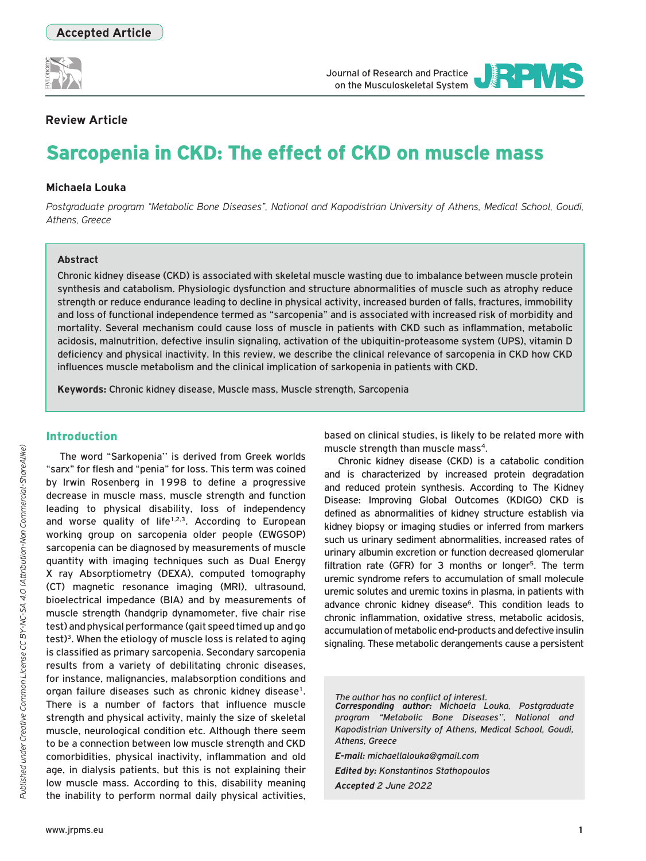

Journal of Research and Practice on the Musculoskeletal System



# **Review Article**

# Sarcopenia in CKD: The effect of CKD on muscle mass

# **Michaela Louka**

*Postgraduate program "Metabolic Bone Diseases", National and Kapodistrian University of Athens, Medical School, Goudi, Athens, Greece*

### **Abstract**

Chronic kidney disease (CKD) is associated with skeletal muscle wasting due to imbalance between muscle protein synthesis and catabolism. Physiologic dysfunction and structure abnormalities of muscle such as atrophy reduce strength or reduce endurance leading to decline in physical activity, increased burden of falls, fractures, immobility and loss of functional independence termed as "sarcopenia" and is associated with increased risk of morbidity and mortality. Several mechanism could cause loss of muscle in patients with CKD such as inflammation, metabolic acidosis, malnutrition, defective insulin signaling, activation of the ubiquitin-proteasome system (UPS), vitamin D deficiency and physical inactivity. In this review, we describe the clinical relevance of sarcopenia in CKD how CKD influences muscle metabolism and the clinical implication of sarkopenia in patients with CKD.

**Keywords:** Chronic kidney disease, Muscle mass, Muscle strength, Sarcopenia

# Introduction

The word "Sarkopenia'' is derived from Greek worlds "sarx" for flesh and "penia" for loss. This term was coined by Irwin Rosenberg in 1998 to define a progressive decrease in muscle mass, muscle strength and function leading to physical disability, loss of independency and worse quality of life<sup>1,2,3</sup>. According to European working group on sarcopenia older people (EWGSOP) sarcopenia can be diagnosed by measurements of muscle quantity with imaging techniques such as Dual Energy X ray Absorptiometry (DEXA), computed tomography (CT) magnetic resonance imaging (MRI), ultrasound, bioelectrical impedance (BIA) and by measurements of muscle strength (handgrip dynamometer, five chair rise test) and physical performance (gait speed timed up and go test)<sup>3</sup>. When the etiology of muscle loss is related to aging is classified as primary sarcopenia. Secondary sarcopenia results from a variety of debilitating chronic diseases, for instance, malignancies, malabsorption conditions and organ failure diseases such as chronic kidney disease<sup>1</sup>. There is a number of factors that influence muscle strength and physical activity, mainly the size of skeletal muscle, neurological condition etc. Although there seem to be a connection between low muscle strength and CKD comorbidities, physical inactivity, inflammation and old age, in dialysis patients, but this is not explaining their low muscle mass. According to this, disability meaning the inability to perform normal daily physical activities,

based on clinical studies, is likely to be related more with muscle strength than muscle mass<sup>4</sup>.

Chronic kidney disease (CKD) is a catabolic condition and is characterized by increased protein degradation and reduced protein synthesis. According to The Kidney Disease: Improving Global Outcomes (KDIGO) CKD is defined as abnormalities of kidney structure establish via kidney biopsy or imaging studies or inferred from markers such us urinary sediment abnormalities, increased rates of urinary albumin excretion or function decreased glomerular filtration rate (GFR) for 3 months or longer<sup>5</sup>. The term uremic syndrome refers to accumulation of small molecule uremic solutes and uremic toxins in plasma, in patients with advance chronic kidney disease<sup>6</sup>. This condition leads to chronic inflammation, oxidative stress, metabolic acidosis, accumulation of metabolic end-products and defective insulin signaling. These metabolic derangements cause a persistent

*The author has no conflict of interest.*

*Corresponding author: Michaela Louka, Postgraduate program "Metabolic Bone Diseases'', National and Kapodistrian University of Athens, Medical School, Goudi, Athens, Greece* 

*E-mail: michaellalouka@gmail.com*

*Edited by: Konstantinos Stathopoulos Accepted 2 June 2022*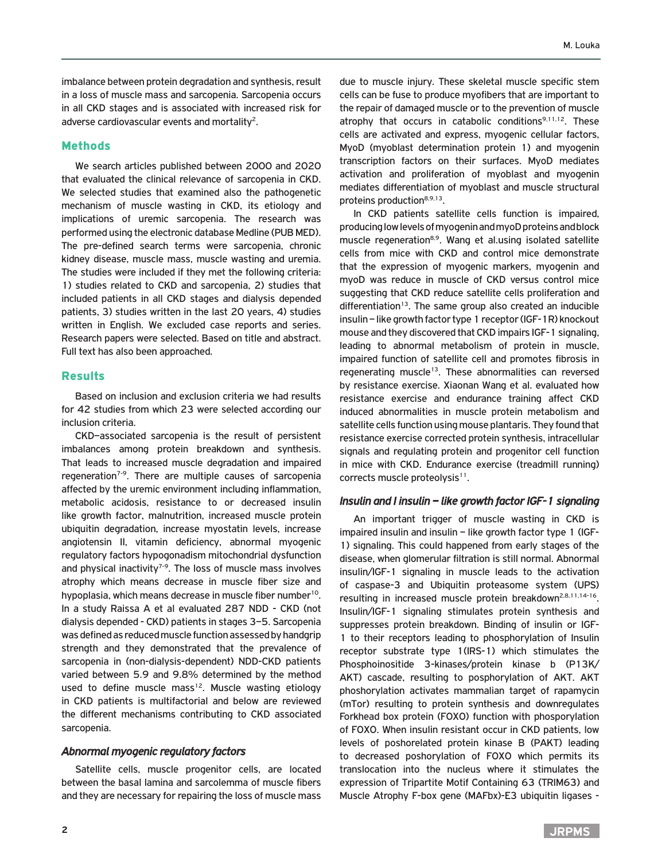imbalance between protein degradation and synthesis, result in a loss of muscle mass and sarcopenia. Sarcopenia occurs in all CKD stages and is associated with increased risk for adverse cardiovascular events and mortality<sup>2</sup>.

## Methods

We search articles published between 2000 and 2020 that evaluated the clinical relevance of sarcopenia in CKD. We selected studies that examined also the pathogenetic mechanism of muscle wasting in CKD, its etiology and implications of uremic sarcopenia. The research was performed using the electronic database Medline (PUB MED). The pre-defined search terms were sarcopenia, chronic kidney disease, muscle mass, muscle wasting and uremia. The studies were included if they met the following criteria: 1) studies related to CKD and sarcopenia, 2) studies that included patients in all CKD stages and dialysis depended patients, 3) studies written in the last 20 years, 4) studies written in English. We excluded case reports and series. Research papers were selected. Based on title and abstract. Full text has also been approached.

#### Results

Based on inclusion and exclusion criteria we had results for 42 studies from which 23 were selected according our inclusion criteria.

CKD–associated sarcopenia is the result of persistent imbalances among protein breakdown and synthesis. That leads to increased muscle degradation and impaired regeneration<sup>7-9</sup>. There are multiple causes of sarcopenia affected by the uremic environment including inflammation, metabolic acidosis, resistance to or decreased insulin like growth factor, malnutrition, increased muscle protein ubiquitin degradation, increase myostatin levels, increase angiotensin II, vitamin deficiency, abnormal myogenic regulatory factors hypogonadism mitochondrial dysfunction and physical inactivity<sup>7-9</sup>. The loss of muscle mass involves atrophy which means decrease in muscle fiber size and hypoplasia, which means decrease in muscle fiber number<sup>10</sup>. In a study Raissa A et al evaluated 287 NDD - CKD (not dialysis depended - CKD) patients in stages 3–5. Sarcopenia was defined as reduced muscle function assessed by handgrip strength and they demonstrated that the prevalence of sarcopenia in (non-dialysis-dependent) NDD-CKD patients varied between 5.9 and 9.8% determined by the method used to define muscle mass $12$ . Muscle wasting etiology in CKD patients is multifactorial and below are reviewed the different mechanisms contributing to CKD associated sarcopenia.

#### *Abnormal myogenic regulatory factors*

Satellite cells, muscle progenitor cells, are located between the basal lamina and sarcolemma of muscle fibers and they are necessary for repairing the loss of muscle mass due to muscle injury. These skeletal muscle specific stem cells can be fuse to produce myofibers that are important to the repair of damaged muscle or to the prevention of muscle atrophy that occurs in catabolic conditions<sup>9,11,12</sup>. These cells are activated and express, myogenic cellular factors, MyoD (myoblast determination protein 1) and myogenin transcription factors on their surfaces. MyoD mediates activation and proliferation of myoblast and myogenin mediates differentiation of myoblast and muscle structural proteins production<sup>8,9,13</sup>.

In CKD patients satellite cells function is impaired, producing low levels of myogenin and myoD proteins and block muscle regeneration<sup>8,9</sup>. Wang et al.using isolated satellite cells from mice with CKD and control mice demonstrate that the expression of myogenic markers, myogenin and myoD was reduce in muscle of CKD versus control mice suggesting that CKD reduce satellite cells proliferation and differentiation $13$ . The same group also created an inducible insulin – like growth factor type 1 receptor (IGF-1R) knockout mouse and they discovered that CKD impairs IGF-1 signaling, leading to abnormal metabolism of protein in muscle, impaired function of satellite cell and promotes fibrosis in regenerating muscle<sup>13</sup>. These abnormalities can reversed by resistance exercise. Xiaonan Wang et al. evaluated how resistance exercise and endurance training affect CKD induced abnormalities in muscle protein metabolism and satellite cells function using mouse plantaris. They found that resistance exercise corrected protein synthesis, intracellular signals and regulating protein and progenitor cell function in mice with CKD. Endurance exercise (treadmill running) corrects muscle proteolysis<sup>11</sup>.

#### *Insulin and I insulin – like growth factor IGF-1 signaling*

An important trigger of muscle wasting in CKD is impaired insulin and insulin – like growth factor type 1 (IGF-1) signaling. This could happened from early stages of the disease, when glomerular filtration is still normal. Abnormal insulin/IGF-1 signaling in muscle leads to the activation of caspase-3 and Ubiquitin proteasome system (UPS) resulting in increased muscle protein breakdown<sup>2,8,11,14-16</sup>. Insulin/IGF-1 signaling stimulates protein synthesis and suppresses protein breakdown. Binding of insulin or IGF-1 to their receptors leading to phosphorylation of Insulin receptor substrate type 1(IRS-1) which stimulates the Phosphoinositide 3-kinases/protein kinase b (P13K/ AKT) cascade, resulting to posphorylation of AKT. AKT phoshorylation activates mammalian target of rapamycin (mTor) resulting to protein synthesis and downregulates Forkhead box protein (FOXO) function with phosporylation of FOXO. When insulin resistant occur in CKD patients, low levels of poshorelated protein kinase B (PAKT) leading to decreased poshorylation of FOXO which permits its translocation into the nucleus where it stimulates the expression of Tripartite Motif Containing 63 (TRIM63) and Muscle Atrophy F-box gene (MAFbx)-E3 ubiquitin ligases -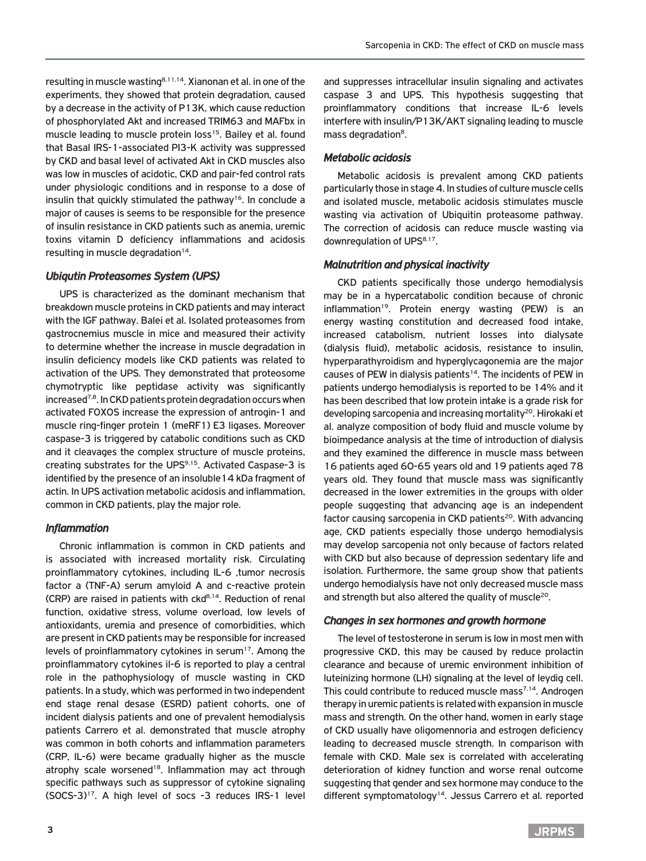resulting in muscle wasting8,11,14. Xianonan et al. in one of the experiments, they showed that protein degradation, caused by a decrease in the activity of P13K, which cause reduction of phosphorylated Akt and increased TRIM63 and MAFbx in muscle leading to muscle protein loss<sup>15</sup>. Bailey et al. found that Basal IRS-1-associated PI3-K activity was suppressed by CKD and basal level of activated Akt in CKD muscles also was low in muscles of acidotic, CKD and pair-fed control rats under physiologic conditions and in response to a dose of insulin that quickly stimulated the pathway<sup>16</sup>. In conclude a major of causes is seems to be responsible for the presence of insulin resistance in CKD patients such as anemia, uremic toxins vitamin D deficiency inflammations and acidosis resulting in muscle degradation<sup>14</sup>.

# *Ubiqutin Proteasomes System (UPS)*

UPS is characterized as the dominant mechanism that breakdown muscle proteins in CKD patients and may interact with the IGF pathway. Balei et al. Isolated proteasomes from gastrocnemius muscle in mice and measured their activity to determine whether the increase in muscle degradation in insulin deficiency models like CKD patients was related to activation of the UPS. They demonstrated that proteosome chymotryptic like peptidase activity was significantly increased<sup>7,8</sup>. In CKD patients protein degradation occurs when activated FOXOS increase the expression of antrogin-1 and muscle ring-finger protein 1 (meRF1) E3 ligases. Moreover caspase-3 is triggered by catabolic conditions such as CKD and it cleavages the complex structure of muscle proteins, creating substrates for the UPS9,15. Activated Caspase-3 is identified by the presence of an insoluble 14 kDa fragment of actin. In UPS activation metabolic acidosis and inflammation, common in CKD patients, play the major role.

### *Inflammation*

Chronic inflammation is common in CKD patients and is associated with increased mortality risk. Circulating proinflammatory cytokines, including IL-6 ,tumor necrosis factor a (TNF-A) serum amyloid A and c-reactive protein  $(CRP)$  are raised in patients with  $ckd^{8,14}$ . Reduction of renal function, oxidative stress, volume overload, low levels of antioxidants, uremia and presence of comorbidities, which are present in CKD patients may be responsible for increased levels of proinflammatory cytokines in serum<sup>17</sup>. Among the proinflammatory cytokines il-6 is reported to play a central role in the pathophysiology of muscle wasting in CKD patients. In a study, which was performed in two independent end stage renal desase (ESRD) patient cohorts, one of incident dialysis patients and one of prevalent hemodialysis patients Carrero et al. demonstrated that muscle atrophy was common in both cohorts and inflammation parameters (CRP, IL-6) were became gradually higher as the muscle atrophy scale worsened<sup>18</sup>. Inflammation may act through specific pathways such as suppressor of cytokine signaling (SOCS-3)17. A high level of socs -3 reduces IRS-1 level and suppresses intracellular insulin signaling and activates caspase 3 and UPS. This hypothesis suggesting that proinflammatory conditions that increase IL-6 levels interfere with insulin/P13K/AKT signaling leading to muscle mass degradation<sup>8</sup>.

# *Metabolic acidosis*

Metabolic acidosis is prevalent among CKD patients particularly those in stage 4. In studies of culture muscle cells and isolated muscle, metabolic acidosis stimulates muscle wasting via activation of Ubiquitin proteasome pathway. The correction of acidosis can reduce muscle wasting via downregulation of UPS<sup>8,17</sup>.

# *Malnutrition and physical inactivity*

CKD patients specifically those undergo hemodialysis may be in a hypercatabolic condition because of chronic  $inflammation<sup>19</sup>$ . Protein energy wasting (PEW) is an energy wasting constitution and decreased food intake, increased catabolism, nutrient losses into dialysate (dialysis fluid), metabolic acidosis, resistance to insulin, hyperparathyroidism and hyperglycagonemia are the major causes of PEW in dialysis patients<sup>14</sup>. The incidents of PEW in patients undergo hemodialysis is reported to be 14% and it has been described that low protein intake is a grade risk for developing sarcopenia and increasing mortality<sup>20</sup>. Hirokaki et al. analyze composition of body fluid and muscle volume by bioimpedance analysis at the time of introduction of dialysis and they examined the difference in muscle mass between 16 patients aged 60-65 years old and 19 patients aged 78 years old. They found that muscle mass was significantly decreased in the lower extremities in the groups with older people suggesting that advancing age is an independent factor causing sarcopenia in CKD patients<sup>20</sup>. With advancing age, CKD patients especially those undergo hemodialysis may develop sarcopenia not only because of factors related with CKD but also because of depression sedentary life and isolation. Furthermore, the same group show that patients undergo hemodialysis have not only decreased muscle mass and strength but also altered the quality of muscle<sup>20</sup>.

### *Changes in sex hormones and growth hormone*

The level of testosterone in serum is low in most men with progressive CKD, this may be caused by reduce prolactin clearance and because of uremic environment inhibition of luteinizing hormone (LH) signaling at the level of leydig cell. This could contribute to reduced muscle mass<sup>7,14</sup>. Androgen therapy in uremic patients is related with expansion in muscle mass and strength. On the other hand, women in early stage of CKD usually have oligomennoria and estrogen deficiency leading to decreased muscle strength. In comparison with female with CKD. Male sex is correlated with accelerating deterioration of kidney function and worse renal outcome suggesting that gender and sex hormone may conduce to the different symptomatology<sup>14</sup>. Jessus Carrero et al. reported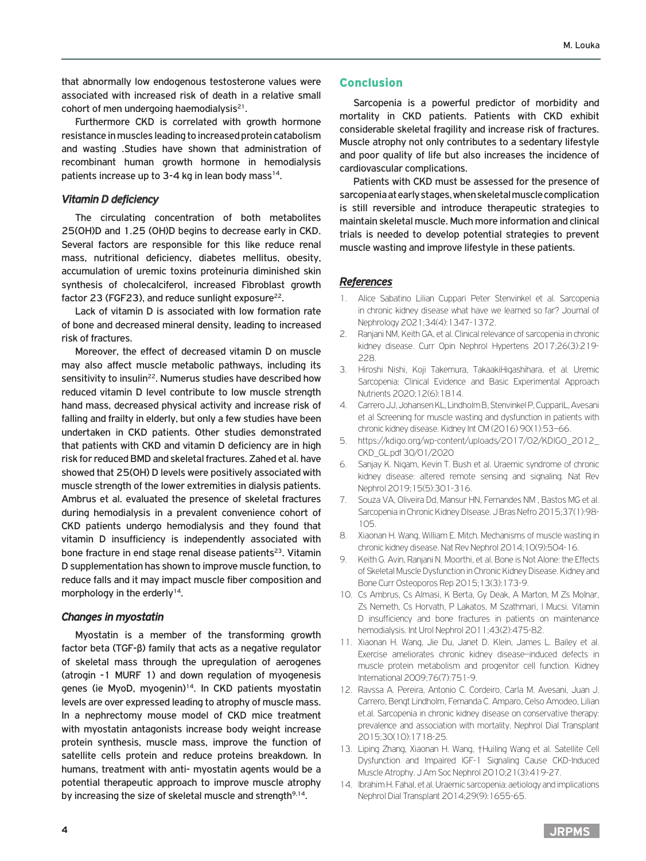that abnormally low endogenous testosterone values were associated with increased risk of death in a relative small cohort of men undergoing haemodialysis $21$ .

Furthermore CKD is correlated with growth hormone resistance in muscles leading to increased protein catabolism and wasting .Studies have shown that administration of recombinant human growth hormone in hemodialysis patients increase up to 3-4 kg in lean body mass<sup>14</sup>.

## *Vitamin D deficiency*

The circulating concentration of both metabolites 25(OH)D and 1.25 (OH)D begins to decrease early in CKD. Several factors are responsible for this like reduce renal mass, nutritional deficiency, diabetes mellitus, obesity, accumulation of uremic toxins proteinuria diminished skin synthesis of cholecalciferol, increased Fibroblast growth factor 23 (FGF23), and reduce sunlight exposure<sup>22</sup>.

Lack of vitamin D is associated with low formation rate of bone and decreased mineral density, leading to increased risk of fractures.

Moreover, the effect of decreased vitamin D on muscle may also affect muscle metabolic pathways, including its sensitivity to insulin<sup>22</sup>. Numerus studies have described how reduced vitamin D level contribute to low muscle strength hand mass, decreased physical activity and increase risk of falling and frailty in elderly, but only a few studies have been undertaken in CKD patients. Other studies demonstrated that patients with CKD and vitamin D deficiency are in high risk for reduced BMD and skeletal fractures. Zahed et al. have showed that 25(OH) D levels were positively associated with muscle strength of the lower extremities in dialysis patients. Ambrus et al. evaluated the presence of skeletal fractures during hemodialysis in a prevalent convenience cohort of CKD patients undergo hemodialysis and they found that vitamin D insufficiency is independently associated with bone fracture in end stage renal disease patients<sup>23</sup>. Vitamin D supplementation has shown to improve muscle function, to reduce falls and it may impact muscle fiber composition and morphology in the erderly<sup>14</sup>.

## *Changes in myostatin*

Myostatin is a member of the transforming growth factor beta (TGF-β) family that acts as a negative regulator of skeletal mass through the upregulation of aerogenes (atrogin -1 MURF 1) and down regulation of myogenesis genes (ie MyoD, myogenin)<sup>14</sup>. In CKD patients myostatin levels are over expressed leading to atrophy of muscle mass. In a nephrectomy mouse model of CKD mice treatment with myostatin antagonists increase body weight increase protein synthesis, muscle mass, improve the function of satellite cells protein and reduce proteins breakdown. In humans, treatment with anti- myostatin agents would be a potential therapeutic approach to improve muscle atrophy by increasing the size of skeletal muscle and strength<sup>9,14</sup>.

# Conclusion

Sarcopenia is a powerful predictor of morbidity and mortality in CKD patients. Patients with CKD exhibit considerable skeletal fragility and increase risk of fractures. Muscle atrophy not only contributes to a sedentary lifestyle and poor quality of life but also increases the incidence of cardiovascular complications.

Patients with CKD must be assessed for the presence of sarcopenia at early stages, when skeletal muscle complication is still reversible and introduce therapeutic strategies to maintain skeletal muscle. Much more information and clinical trials is needed to develop potential strategies to prevent muscle wasting and improve lifestyle in these patients.

# *References*

- 1. Alice Sabatino Lilian Cuppari Peter Stenvinkel et al. Sarcopenia in chronic kidney disease what have we learned so far? Journal of Nephrology 2021;34(4):1347-1372.
- 2. Ranjani NM, Keith GA, et al. Clinical relevance of sarcopenia in chronic kidney disease. Curr Opin Nephrol Hypertens 2017;26(3):219- 228.
- 3. Hiroshi Nishi, Koji Takemura, TakaakiHigashihara, et al. Uremic Sarcopenia: Clinical Evidence and Basic Experimental Approach Nutrients 2020;12(6):1814.
- 4. Carrero JJ, Johansen KL, Lindholm B, Stenvinkel P, CuppariL, Avesani et al Screening for muscle wasting and dysfunction in patients with chronic kidney disease. Kidney Int CM (2016) 90(1):53–66.
- 5. https://kdigo.org/wp-content/uploads/2017/02/KDIGO\_2012\_ CKD\_GL.pdf 30/01/2020
- 6. Sanjay K. Nigam, Kevin T. Bush et al. Uraemic syndrome of chronic kidney disease: altered remote sensing and signaling. Nat Rev Nephrol 2019;15(5):301-316.
- 7. Souza VA, Oliveira Dd, Mansur HN, Fernandes NM , Bastos MG et al. Sarcopenia in Chronic Kidney DIsease. J Bras Nefro 2015;37(1):98- 105.
- 8. Xiaonan H. Wang, William E. Mitch. Mechanisms of muscle wasting in chronic kidney disease. Nat Rev Nephrol 2014;10(9):504-16.
- 9. Keith G. Avin, Ranjani N. Moorthi, et al. Bone is Not Alone: the Effects of Skeletal Muscle Dysfunction in Chronic Kidney Disease. Kidney and Bone Curr Osteoporos Rep 2015;13(3):173-9.
- 10. Cs Ambrus, Cs Almasi, K Berta, Gy Deak, A Marton, M Zs Molnar, Zs Nemeth, Cs Horvath, P Lakatos, M Szathmari, I Mucsi. Vitamin D insufficiency and bone fractures in patients on maintenance hemodialysis. Int Urol Nephrol 2011;43(2):475-82.
- 11. Xiaonan H. Wang, Jie Du, Janet D. Klein, James L. Bailey et al. Exercise ameliorates chronic kidney disease–induced defects in muscle protein metabolism and progenitor cell function. Kidney International 2009;76(7):751-9.
- 12. Raνssa A. Pereira, Antonio C. Cordeiro, Carla M. Avesani, Juan J. Carrero, Bengt Lindholm, Fernanda C. Amparo, Celso Amodeo, Lilian et.al. Sarcopenia in chronic kidney disease on conservative therapy: prevalence and association with mortality. Nephrol Dial Transplant 2015;30(10):1718-25.
- 13. Liping Zhang, Xiaonan H. Wang, †Huiling Wang et al. Satellite Cell Dysfunction and Impaired IGF-1 Signaling Cause CKD-Induced Muscle Atrophy. J Am Soc Nephrol 2010;21(3):419-27.
- 14. Ibrahim H. Fahal, et al. Uraemic sarcopenia: aetiology and implications Nephrol Dial Transplant 2014;29(9):1655-65.